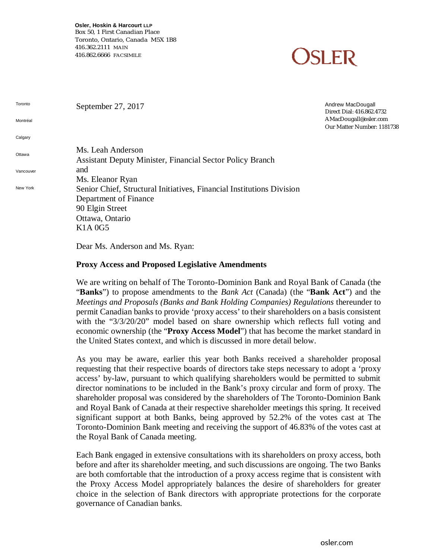**Osler, Hoskin & Harcourt LLP** Box 50, 1 First Canadian Place Toronto, Ontario, Canada M5X 1B8 416.362.2111 MAIN 416.862.6666 FACSIMILE



| Toronto<br>Montréal | September 27, 2017                                                    | Andrew MacDougall<br>Direct Dial: 416.862.4732<br>AMacDougall@osler.com<br>Our Matter Number: 1181738 |
|---------------------|-----------------------------------------------------------------------|-------------------------------------------------------------------------------------------------------|
| Calgary             |                                                                       |                                                                                                       |
| Ottawa              | Ms. Leah Anderson                                                     |                                                                                                       |
|                     | <b>Assistant Deputy Minister, Financial Sector Policy Branch</b>      |                                                                                                       |
| Vancouver           | and                                                                   |                                                                                                       |
|                     | Ms. Eleanor Ryan                                                      |                                                                                                       |
| New York            | Senior Chief, Structural Initiatives, Financial Institutions Division |                                                                                                       |
|                     | Department of Finance                                                 |                                                                                                       |
|                     | 90 Elgin Street                                                       |                                                                                                       |
|                     | Ottawa, Ontario                                                       |                                                                                                       |
|                     | K <sub>1</sub> A 0G <sub>5</sub>                                      |                                                                                                       |
|                     | Dear Ms. Anderson and Ms. Ryan:                                       |                                                                                                       |

#### **Proxy Access and Proposed Legislative Amendments**

We are writing on behalf of The Toronto-Dominion Bank and Royal Bank of Canada (the "**Banks**") to propose amendments to the *Bank Act* (Canada) (the "**Bank Act**") and the *Meetings and Proposals (Banks and Bank Holding Companies) Regulations* thereunder to permit Canadian banks to provide 'proxy access' to their shareholders on a basis consistent with the "3/3/20/20" model based on share ownership which reflects full voting and economic ownership (the "**Proxy Access Model**") that has become the market standard in the United States context, and which is discussed in more detail below.

As you may be aware, earlier this year both Banks received a shareholder proposal requesting that their respective boards of directors take steps necessary to adopt a 'proxy access' by-law, pursuant to which qualifying shareholders would be permitted to submit director nominations to be included in the Bank's proxy circular and form of proxy. The shareholder proposal was considered by the shareholders of The Toronto-Dominion Bank and Royal Bank of Canada at their respective shareholder meetings this spring. It received significant support at both Banks, being approved by 52.2% of the votes cast at The Toronto-Dominion Bank meeting and receiving the support of 46.83% of the votes cast at the Royal Bank of Canada meeting.

Each Bank engaged in extensive consultations with its shareholders on proxy access, both before and after its shareholder meeting, and such discussions are ongoing. The two Banks are both comfortable that the introduction of a proxy access regime that is consistent with the Proxy Access Model appropriately balances the desire of shareholders for greater choice in the selection of Bank directors with appropriate protections for the corporate governance of Canadian banks.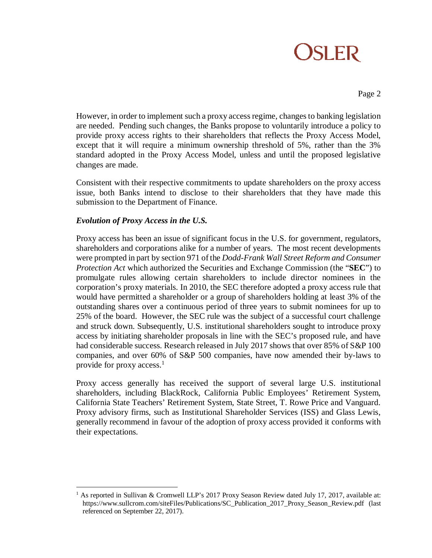# **OSLER**

Page 2

However, in order to implement such a proxy access regime, changes to banking legislation are needed. Pending such changes, the Banks propose to voluntarily introduce a policy to provide proxy access rights to their shareholders that reflects the Proxy Access Model, except that it will require a minimum ownership threshold of 5%, rather than the 3% standard adopted in the Proxy Access Model, unless and until the proposed legislative changes are made.

Consistent with their respective commitments to update shareholders on the proxy access issue, both Banks intend to disclose to their shareholders that they have made this submission to the Department of Finance.

### *Evolution of Proxy Access in the U.S.*

Proxy access has been an issue of significant focus in the U.S. for government, regulators, shareholders and corporations alike for a number of years. The most recent developments were prompted in part by section 971 of the *Dodd-Frank Wall Street Reform and Consumer Protection Act* which authorized the Securities and Exchange Commission (the "**SEC**") to promulgate rules allowing certain shareholders to include director nominees in the corporation's proxy materials. In 2010, the SEC therefore adopted a proxy access rule that would have permitted a shareholder or a group of shareholders holding at least 3% of the outstanding shares over a continuous period of three years to submit nominees for up to 25% of the board. However, the SEC rule was the subject of a successful court challenge and struck down. Subsequently, U.S. institutional shareholders sought to introduce proxy access by initiating shareholder proposals in line with the SEC's proposed rule, and have had considerable success. Research released in July 2017 shows that over 85% of S&P 100 companies, and over 60% of S&P 500 companies, have now amended their by-laws to provide for proxy access. 1

Proxy access generally has received the support of several large U.S. institutional shareholders, including BlackRock, California Public Employees' Retirement System, California State Teachers' Retirement System, State Street, T. Rowe Price and Vanguard. Proxy advisory firms, such as Institutional Shareholder Services (ISS) and Glass Lewis, generally recommend in favour of the adoption of proxy access provided it conforms with their expectations.

 $\overline{a}$ <sup>1</sup> As reported in Sullivan & Cromwell LLP's 2017 Proxy Season Review dated July 17, 2017, available at: [https://www.sullcrom.com/siteFiles/Publications/SC\\_Publication\\_2017\\_Proxy\\_Season\\_Review.pdf](https://www.sullcrom.com/siteFiles/Publications/SC_Publication_2017_Proxy_Season_Review.pdf) (last referenced on September 22, 2017).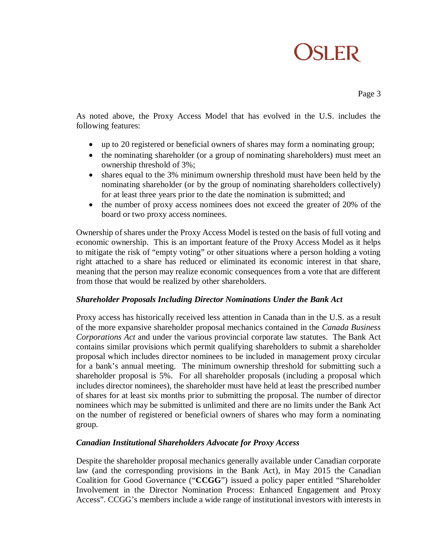# **OSLER**

Page 3

As noted above, the Proxy Access Model that has evolved in the U.S. includes the following features:

- up to 20 registered or beneficial owners of shares may form a nominating group;
- the nominating shareholder (or a group of nominating shareholders) must meet an ownership threshold of 3%;
- shares equal to the 3% minimum ownership threshold must have been held by the nominating shareholder (or by the group of nominating shareholders collectively) for at least three years prior to the date the nomination is submitted; and
- the number of proxy access nominees does not exceed the greater of 20% of the board or two proxy access nominees.

Ownership of shares under the Proxy Access Model is tested on the basis of full voting and economic ownership. This is an important feature of the Proxy Access Model as it helps to mitigate the risk of "empty voting" or other situations where a person holding a voting right attached to a share has reduced or eliminated its economic interest in that share, meaning that the person may realize economic consequences from a vote that are different from those that would be realized by other shareholders.

#### *Shareholder Proposals Including Director Nominations Under the Bank Act*

Proxy access has historically received less attention in Canada than in the U.S. as a result of the more expansive shareholder proposal mechanics contained in the *Canada Business Corporations Act* and under the various provincial corporate law statutes. The Bank Act contains similar provisions which permit qualifying shareholders to submit a shareholder proposal which includes director nominees to be included in management proxy circular for a bank's annual meeting. The minimum ownership threshold for submitting such a shareholder proposal is 5%. For all shareholder proposals (including a proposal which includes director nominees), the shareholder must have held at least the prescribed number of shares for at least six months prior to submitting the proposal. The number of director nominees which may be submitted is unlimited and there are no limits under the Bank Act on the number of registered or beneficial owners of shares who may form a nominating group.

#### *Canadian Institutional Shareholders Advocate for Proxy Access*

Despite the shareholder proposal mechanics generally available under Canadian corporate law (and the corresponding provisions in the Bank Act), in May 2015 the Canadian Coalition for Good Governance ("**CCGG**") issued a policy paper entitled "Shareholder Involvement in the Director Nomination Process: Enhanced Engagement and Proxy Access". CCGG's members include a wide range of institutional investors with interests in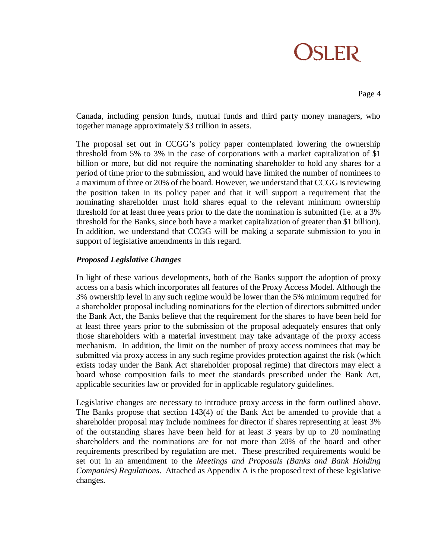# **OSLER**

Page 4

Canada, including pension funds, mutual funds and third party money managers, who together manage approximately \$3 trillion in assets.

The proposal set out in CCGG's policy paper contemplated lowering the ownership threshold from 5% to 3% in the case of corporations with a market capitalization of \$1 billion or more, but did not require the nominating shareholder to hold any shares for a period of time prior to the submission, and would have limited the number of nominees to a maximum of three or 20% of the board. However, we understand that CCGG is reviewing the position taken in its policy paper and that it will support a requirement that the nominating shareholder must hold shares equal to the relevant minimum ownership threshold for at least three years prior to the date the nomination is submitted (i.e. at a 3% threshold for the Banks, since both have a market capitalization of greater than \$1 billion). In addition, we understand that CCGG will be making a separate submission to you in support of legislative amendments in this regard*.*

### *Proposed Legislative Changes*

In light of these various developments, both of the Banks support the adoption of proxy access on a basis which incorporates all features of the Proxy Access Model. Although the 3% ownership level in any such regime would be lower than the 5% minimum required for a shareholder proposal including nominations for the election of directors submitted under the Bank Act, the Banks believe that the requirement for the shares to have been held for at least three years prior to the submission of the proposal adequately ensures that only those shareholders with a material investment may take advantage of the proxy access mechanism. In addition, the limit on the number of proxy access nominees that may be submitted via proxy access in any such regime provides protection against the risk (which exists today under the Bank Act shareholder proposal regime) that directors may elect a board whose composition fails to meet the standards prescribed under the Bank Act, applicable securities law or provided for in applicable regulatory guidelines.

Legislative changes are necessary to introduce proxy access in the form outlined above. The Banks propose that section 143(4) of the Bank Act be amended to provide that a shareholder proposal may include nominees for director if shares representing at least 3% of the outstanding shares have been held for at least 3 years by up to 20 nominating shareholders and the nominations are for not more than 20% of the board and other requirements prescribed by regulation are met. These prescribed requirements would be set out in an amendment to the *Meetings and Proposals (Banks and Bank Holding Companies) Regulations*. Attached as Appendix A is the proposed text of these legislative changes.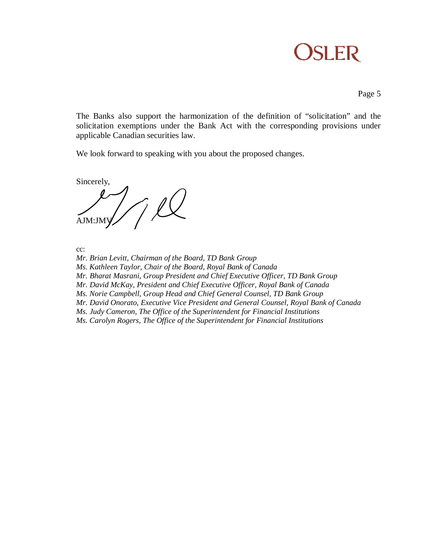

Page 5

The Banks also support the harmonization of the definition of "solicitation" and the solicitation exemptions under the Bank Act with the corresponding provisions under applicable Canadian securities law.

We look forward to speaking with you about the proposed changes.

Sincerely,  $\frac{1}{\text{Ann:inv}}$ 

cc:

*Mr. Brian Levitt, Chairman of the Board, TD Bank Group*

*Ms. Kathleen Taylor, Chair of the Board, Royal Bank of Canada*

*Mr. Bharat Masrani, Group President and Chief Executive Officer, TD Bank Group*

*Mr. David McKay, President and Chief Executive Officer, Royal Bank of Canada*

*Ms. Norie Campbell, Group Head and Chief General Counsel, TD Bank Group*

*Mr. David Onorato, Executive Vice President and General Counsel, Royal Bank of Canada*

*Ms. Judy Cameron, The Office of the Superintendent for Financial Institutions*

*Ms. Carolyn Rogers, The Office of the Superintendent for Financial Institutions*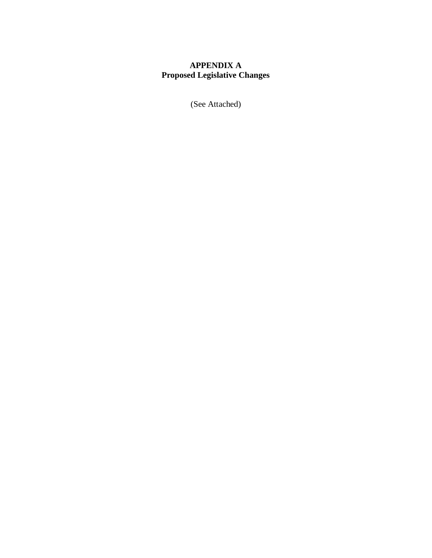# **APPENDIX A Proposed Legislative Changes**

(See Attached)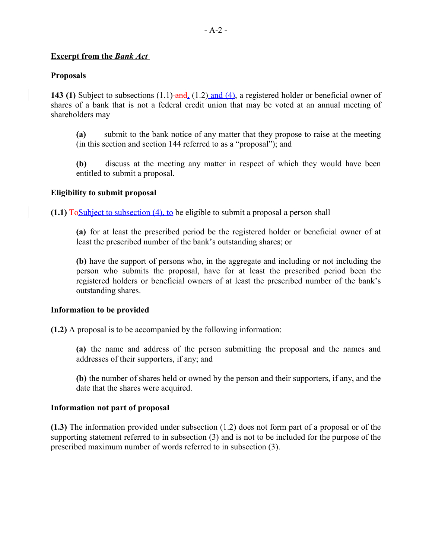## **Excerpt from the** *Bank Act*

## **Proposals**

**143 (1)** Subject to subsections (1.1) and, (1.2) and (4), a registered holder or beneficial owner of shares of a bank that is not a federal credit union that may be voted at an annual meeting of shareholders may

**(a)** submit to the bank notice of any matter that they propose to raise at the meeting (in this section and section 144 referred to as a "proposal"); and

**(b)** discuss at the meeting any matter in respect of which they would have been entitled to submit a proposal.

#### **Eligibility to submit proposal**

**(1.1)** ToSubject to subsection (4), to be eligible to submit a proposal a person shall

**(a)** for at least the prescribed period be the registered holder or beneficial owner of at least the prescribed number of the bank's outstanding shares; or

**(b)** have the support of persons who, in the aggregate and including or not including the person who submits the proposal, have for at least the prescribed period been the registered holders or beneficial owners of at least the prescribed number of the bank's outstanding shares.

#### **Information to be provided**

**(1.2)** A proposal is to be accompanied by the following information:

**(a)** the name and address of the person submitting the proposal and the names and addresses of their supporters, if any; and

**(b)** the number of shares held or owned by the person and their supporters, if any, and the date that the shares were acquired.

#### **Information not part of proposal**

**(1.3)** The information provided under subsection (1.2) does not form part of a proposal or of the supporting statement referred to in subsection (3) and is not to be included for the purpose of the prescribed maximum number of words referred to in subsection (3).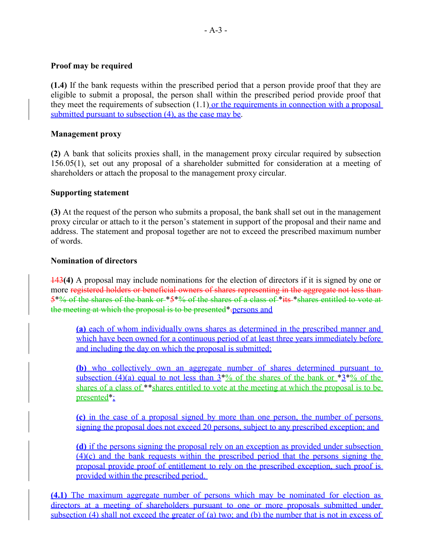### **Proof may be required**

**(1.4)** If the bank requests within the prescribed period that a person provide proof that they are eligible to submit a proposal, the person shall within the prescribed period provide proof that they meet the requirements of subsection  $(1.1)$  or the requirements in connection with a proposal submitted pursuant to subsection (4), as the case may be.

### **Management proxy**

**(2)** A bank that solicits proxies shall, in the management proxy circular required by subsection 156.05(1), set out any proposal of a shareholder submitted for consideration at a meeting of shareholders or attach the proposal to the management proxy circular.

#### **Supporting statement**

**(3)** At the request of the person who submits a proposal, the bank shall set out in the management proxy circular or attach to it the person's statement in support of the proposal and their name and address. The statement and proposal together are not to exceed the prescribed maximum number of words.

#### **Nomination of directors**

143**(4)** A proposal may include nominations for the election of directors if it is signed by one or more registered holders or beneficial owners of shares representing in the aggregate not less than 5\*% of the shares of the bank or \*5\*% of the shares of a class of \*its \*shares entitled to vote at the meeting at which the proposal is to be presented\*.persons and

**(a)** each of whom individually owns shares as determined in the prescribed manner and which have been owned for a continuous period of at least three years immediately before and including the day on which the proposal is submitted;

**(b)** who collectively own an aggregate number of shares determined pursuant to subsection (4)(a) equal to not less than  $3^{*}\%$  of the shares of the bank or  $*3^{*}\%$  of the shares of a class of \*\*shares entitled to vote at the meeting at which the proposal is to be presented\*;

**(c)** in the case of a proposal signed by more than one person, the number of persons signing the proposal does not exceed 20 persons, subject to any prescribed exception; and

**(d)** if the persons signing the proposal rely on an exception as provided under subsection (4)(c) and the bank requests within the prescribed period that the persons signing the proposal provide proof of entitlement to rely on the prescribed exception, such proof is provided within the prescribed period.

**(4.1)** The maximum aggregate number of persons which may be nominated for election as directors at a meeting of shareholders pursuant to one or more proposals submitted under subsection (4) shall not exceed the greater of (a) two; and (b) the number that is not in excess of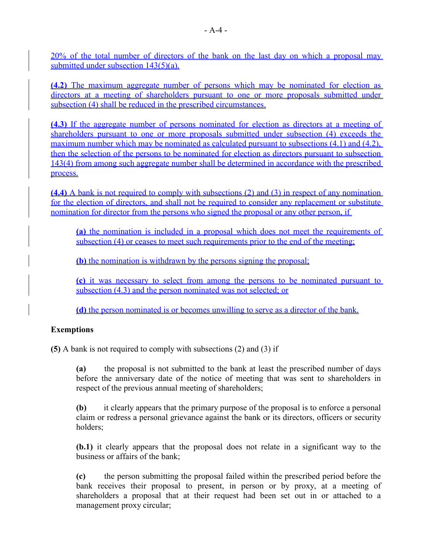20% of the total number of directors of the bank on the last day on which a proposal may submitted under subsection 143(5)(a).

**(4.2)** The maximum aggregate number of persons which may be nominated for election as directors at a meeting of shareholders pursuant to one or more proposals submitted under subsection (4) shall be reduced in the prescribed circumstances.

**(4.3)** If the aggregate number of persons nominated for election as directors at a meeting of shareholders pursuant to one or more proposals submitted under subsection (4) exceeds the maximum number which may be nominated as calculated pursuant to subsections (4.1) and (4.2). then the selection of the persons to be nominated for election as directors pursuant to subsection 143(4) from among such aggregate number shall be determined in accordance with the prescribed process.

**(4.4)** A bank is not required to comply with subsections (2) and (3) in respect of any nomination for the election of directors, and shall not be required to consider any replacement or substitute nomination for director from the persons who signed the proposal or any other person, if

**(a)** the nomination is included in a proposal which does not meet the requirements of subsection (4) or ceases to meet such requirements prior to the end of the meeting;

**(b)** the nomination is withdrawn by the persons signing the proposal;

**(c)** it was necessary to select from among the persons to be nominated pursuant to subsection (4.3) and the person nominated was not selected; or

**(d)** the person nominated is or becomes unwilling to serve as a director of the bank.

# **Exemptions**

**(5)** A bank is not required to comply with subsections (2) and (3) if

**(a)** the proposal is not submitted to the bank at least the prescribed number of days before the anniversary date of the notice of meeting that was sent to shareholders in respect of the previous annual meeting of shareholders;

**(b)** it clearly appears that the primary purpose of the proposal is to enforce a personal claim or redress a personal grievance against the bank or its directors, officers or security holders;

**(b.1)** it clearly appears that the proposal does not relate in a significant way to the business or affairs of the bank;

**(c)** the person submitting the proposal failed within the prescribed period before the bank receives their proposal to present, in person or by proxy, at a meeting of shareholders a proposal that at their request had been set out in or attached to a management proxy circular;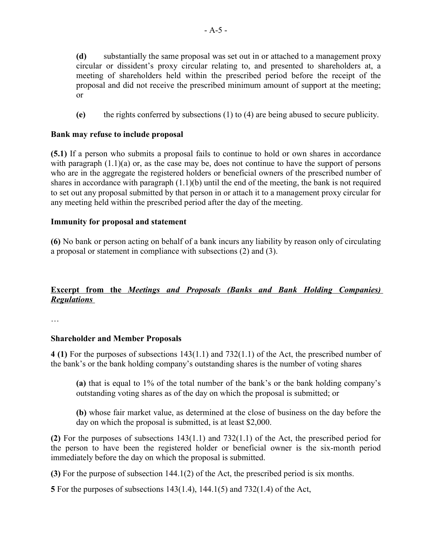**(d)** substantially the same proposal was set out in or attached to a management proxy circular or dissident's proxy circular relating to, and presented to shareholders at, a meeting of shareholders held within the prescribed period before the receipt of the proposal and did not receive the prescribed minimum amount of support at the meeting; or

**(e)** the rights conferred by subsections (1) to (4) are being abused to secure publicity.

## **Bank may refuse to include proposal**

**(5.1)** If a person who submits a proposal fails to continue to hold or own shares in accordance with paragraph  $(1.1)(a)$  or, as the case may be, does not continue to have the support of persons who are in the aggregate the registered holders or beneficial owners of the prescribed number of shares in accordance with paragraph  $(1.1)(b)$  until the end of the meeting, the bank is not required to set out any proposal submitted by that person in or attach it to a management proxy circular for any meeting held within the prescribed period after the day of the meeting.

#### **Immunity for proposal and statement**

**(6)** No bank or person acting on behalf of a bank incurs any liability by reason only of circulating a proposal or statement in compliance with subsections (2) and (3).

# **Excerpt from the** *Meetings and Proposals (Banks and Bank Holding Companies) Regulations*

…

#### **Shareholder and Member Proposals**

**4 (1)** For the purposes of subsections 143(1.1) and 732(1.1) of the Act, the prescribed number of the bank's or the bank holding company's outstanding shares is the number of voting shares

**(a)** that is equal to 1% of the total number of the bank's or the bank holding company's outstanding voting shares as of the day on which the proposal is submitted; or

**(b)** whose fair market value, as determined at the close of business on the day before the day on which the proposal is submitted, is at least \$2,000.

**(2)** For the purposes of subsections 143(1.1) and 732(1.1) of the Act, the prescribed period for the person to have been the registered holder or beneficial owner is the six-month period immediately before the day on which the proposal is submitted.

**(3)** For the purpose of subsection 144.1(2) of the Act, the prescribed period is six months.

**5** For the purposes of subsections 143(1.4), 144.1(5) and 732(1.4) of the Act,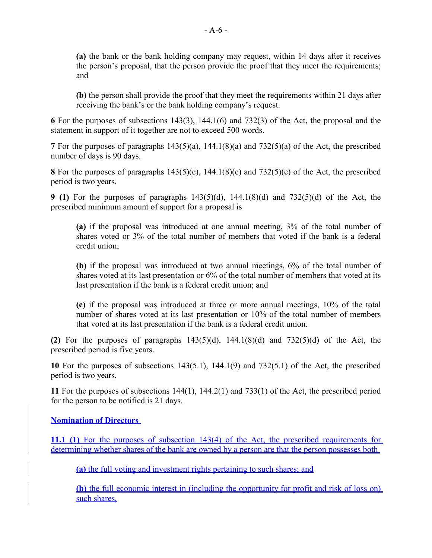**(a)** the bank or the bank holding company may request, within 14 days after it receives the person's proposal, that the person provide the proof that they meet the requirements; and

**(b)** the person shall provide the proof that they meet the requirements within 21 days after receiving the bank's or the bank holding company's request.

**6** For the purposes of subsections 143(3), 144.1(6) and 732(3) of the Act, the proposal and the statement in support of it together are not to exceed 500 words.

**7** For the purposes of paragraphs 143(5)(a), 144.1(8)(a) and 732(5)(a) of the Act, the prescribed number of days is 90 days.

**8** For the purposes of paragraphs 143(5)(c), 144.1(8)(c) and 732(5)(c) of the Act, the prescribed period is two years.

**9 (1)** For the purposes of paragraphs 143(5)(d), 144.1(8)(d) and 732(5)(d) of the Act, the prescribed minimum amount of support for a proposal is

**(a)** if the proposal was introduced at one annual meeting, 3% of the total number of shares voted or 3% of the total number of members that voted if the bank is a federal credit union;

**(b)** if the proposal was introduced at two annual meetings, 6% of the total number of shares voted at its last presentation or 6% of the total number of members that voted at its last presentation if the bank is a federal credit union; and

**(c)** if the proposal was introduced at three or more annual meetings, 10% of the total number of shares voted at its last presentation or 10% of the total number of members that voted at its last presentation if the bank is a federal credit union.

(2) For the purposes of paragraphs  $143(5)(d)$ ,  $144.1(8)(d)$  and  $732(5)(d)$  of the Act, the prescribed period is five years.

**10** For the purposes of subsections 143(5.1), 144.1(9) and 732(5.1) of the Act, the prescribed period is two years.

**11** For the purposes of subsections 144(1), 144.2(1) and 733(1) of the Act, the prescribed period for the person to be notified is 21 days.

# **Nomination of Directors**

**11.1 (1)** For the purposes of subsection 143(4) of the Act, the prescribed requirements for determining whether shares of the bank are owned by a person are that the person possesses both

**(a)** the full voting and investment rights pertaining to such shares; and

**(b)** the full economic interest in (including the opportunity for profit and risk of loss on) such shares.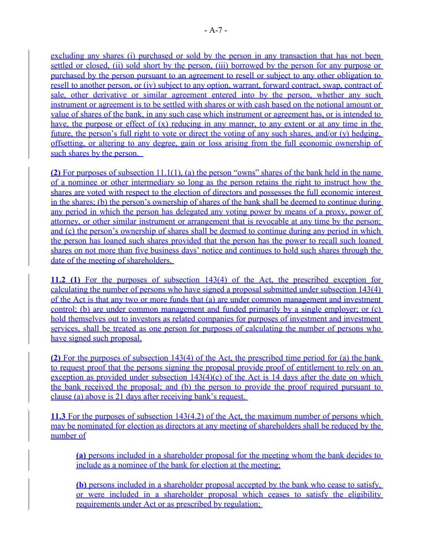excluding any shares (i) purchased or sold by the person in any transaction that has not been settled or closed, (ii) sold short by the person, (iii) borrowed by the person for any purpose or purchased by the person pursuant to an agreement to resell or subject to any other obligation to resell to another person, or (iv) subject to any option, warrant, forward contract, swap, contract of sale, other derivative or similar agreement entered into by the person, whether any such instrument or agreement is to be settled with shares or with cash based on the notional amount or value of shares of the bank, in any such case which instrument or agreement has, or is intended to have, the purpose or effect of  $(x)$  reducing in any manner, to any extent or at any time in the future, the person's full right to vote or direct the voting of any such shares, and/or (y) hedging, offsetting, or altering to any degree, gain or loss arising from the full economic ownership of such shares by the person.

**(2)** For purposes of subsection 11.1(1), (a) the person "owns" shares of the bank held in the name of a nominee or other intermediary so long as the person retains the right to instruct how the shares are voted with respect to the election of directors and possesses the full economic interest in the shares; (b) the person's ownership of shares of the bank shall be deemed to continue during any period in which the person has delegated any voting power by means of a proxy, power of attorney, or other similar instrument or arrangement that is revocable at any time by the person; and (c) the person's ownership of shares shall be deemed to continue during any period in which the person has loaned such shares provided that the person has the power to recall such loaned shares on not more than five business days' notice and continues to hold such shares through the date of the meeting of shareholders.

**11.2 (1)** For the purposes of subsection 143(4) of the Act, the prescribed exception for calculating the number of persons who have signed a proposal submitted under subsection 143(4) of the Act is that any two or more funds that (a) are under common management and investment control; (b) are under common management and funded primarily by a single employer; or (c) hold themselves out to investors as related companies for purposes of investment and investment services, shall be treated as one person for purposes of calculating the number of persons who have signed such proposal.

**(2)** For the purposes of subsection 143(4) of the Act, the prescribed time period for (a) the bank to request proof that the persons signing the proposal provide proof of entitlement to rely on an exception as provided under subsection  $143(4)(c)$  of the Act is 14 days after the date on which the bank received the proposal; and (b) the person to provide the proof required pursuant to clause (a) above is 21 days after receiving bank's request.

**11.3** For the purposes of subsection 143(4.2) of the Act, the maximum number of persons which may be nominated for election as directors at any meeting of shareholders shall be reduced by the number of

**(a)** persons included in a shareholder proposal for the meeting whom the bank decides to include as a nominee of the bank for election at the meeting;

**(b)** persons included in a shareholder proposal accepted by the bank who cease to satisfy, or were included in a shareholder proposal which ceases to satisfy the eligibility requirements under Act or as prescribed by regulation;